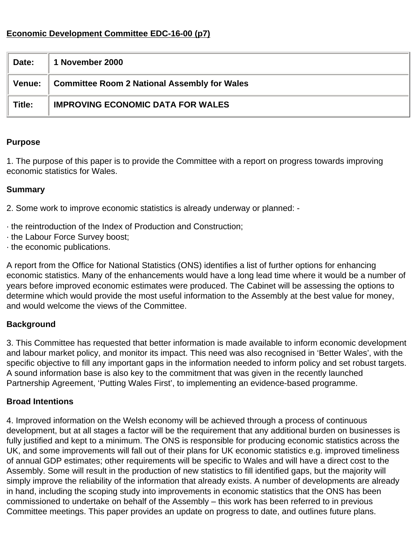### **Economic Development Committee EDC-16-00 (p7)**

| Date:         | 1 November 2000                                     |
|---------------|-----------------------------------------------------|
| <b>Venue:</b> | <b>Committee Room 2 National Assembly for Wales</b> |
| Title:        | <b>IMPROVING ECONOMIC DATA FOR WALES</b>            |

#### **Purpose**

1. The purpose of this paper is to provide the Committee with a report on progress towards improving economic statistics for Wales.

#### **Summary**

2. Some work to improve economic statistics is already underway or planned: -

- · the reintroduction of the Index of Production and Construction;
- · the Labour Force Survey boost;
- · the economic publications.

A report from the Office for National Statistics (ONS) identifies a list of further options for enhancing economic statistics. Many of the enhancements would have a long lead time where it would be a number of years before improved economic estimates were produced. The Cabinet will be assessing the options to determine which would provide the most useful information to the Assembly at the best value for money, and would welcome the views of the Committee.

### **Background**

3. This Committee has requested that better information is made available to inform economic development and labour market policy, and monitor its impact. This need was also recognised in 'Better Wales', with the specific objective to fill any important gaps in the information needed to inform policy and set robust targets. A sound information base is also key to the commitment that was given in the recently launched Partnership Agreement, 'Putting Wales First', to implementing an evidence-based programme.

### **Broad Intentions**

4. Improved information on the Welsh economy will be achieved through a process of continuous development, but at all stages a factor will be the requirement that any additional burden on businesses is fully justified and kept to a minimum. The ONS is responsible for producing economic statistics across the UK, and some improvements will fall out of their plans for UK economic statistics e.g. improved timeliness of annual GDP estimates; other requirements will be specific to Wales and will have a direct cost to the Assembly. Some will result in the production of new statistics to fill identified gaps, but the majority will simply improve the reliability of the information that already exists. A number of developments are already in hand, including the scoping study into improvements in economic statistics that the ONS has been commissioned to undertake on behalf of the Assembly – this work has been referred to in previous Committee meetings. This paper provides an update on progress to date, and outlines future plans.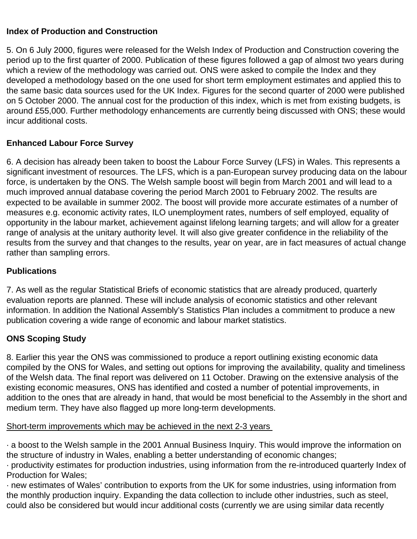### **Index of Production and Construction**

5. On 6 July 2000, figures were released for the Welsh Index of Production and Construction covering the period up to the first quarter of 2000. Publication of these figures followed a gap of almost two years during which a review of the methodology was carried out. ONS were asked to compile the Index and they developed a methodology based on the one used for short term employment estimates and applied this to the same basic data sources used for the UK Index. Figures for the second quarter of 2000 were published on 5 October 2000. The annual cost for the production of this index, which is met from existing budgets, is around £55,000. Further methodology enhancements are currently being discussed with ONS; these would incur additional costs.

### **Enhanced Labour Force Survey**

6. A decision has already been taken to boost the Labour Force Survey (LFS) in Wales. This represents a significant investment of resources. The LFS, which is a pan-European survey producing data on the labour force, is undertaken by the ONS. The Welsh sample boost will begin from March 2001 and will lead to a much improved annual database covering the period March 2001 to February 2002. The results are expected to be available in summer 2002. The boost will provide more accurate estimates of a number of measures e.g. economic activity rates, ILO unemployment rates, numbers of self employed, equality of opportunity in the labour market, achievement against lifelong learning targets; and will allow for a greater range of analysis at the unitary authority level. It will also give greater confidence in the reliability of the results from the survey and that changes to the results, year on year, are in fact measures of actual change rather than sampling errors.

### **Publications**

7. As well as the regular Statistical Briefs of economic statistics that are already produced, quarterly evaluation reports are planned. These will include analysis of economic statistics and other relevant information. In addition the National Assembly's Statistics Plan includes a commitment to produce a new publication covering a wide range of economic and labour market statistics.

# **ONS Scoping Study**

8. Earlier this year the ONS was commissioned to produce a report outlining existing economic data compiled by the ONS for Wales, and setting out options for improving the availability, quality and timeliness of the Welsh data. The final report was delivered on 11 October. Drawing on the extensive analysis of the existing economic measures, ONS has identified and costed a number of potential improvements, in addition to the ones that are already in hand, that would be most beneficial to the Assembly in the short and medium term. They have also flagged up more long-term developments.

Short-term improvements which may be achieved in the next 2-3 years

· a boost to the Welsh sample in the 2001 Annual Business Inquiry. This would improve the information on the structure of industry in Wales, enabling a better understanding of economic changes;

· productivity estimates for production industries, using information from the re-introduced quarterly Index of Production for Wales;

· new estimates of Wales' contribution to exports from the UK for some industries, using information from the monthly production inquiry. Expanding the data collection to include other industries, such as steel, could also be considered but would incur additional costs (currently we are using similar data recently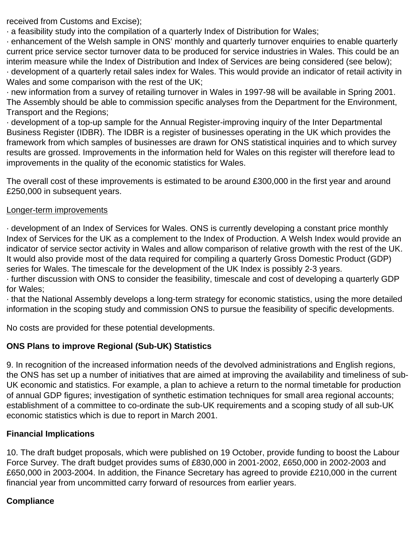received from Customs and Excise);

· a feasibility study into the compilation of a quarterly Index of Distribution for Wales;

· enhancement of the Welsh sample in ONS' monthly and quarterly turnover enquiries to enable quarterly current price service sector turnover data to be produced for service industries in Wales. This could be an interim measure while the Index of Distribution and Index of Services are being considered (see below); · development of a quarterly retail sales index for Wales. This would provide an indicator of retail activity in Wales and some comparison with the rest of the UK;

· new information from a survey of retailing turnover in Wales in 1997-98 will be available in Spring 2001. The Assembly should be able to commission specific analyses from the Department for the Environment, Transport and the Regions;

· development of a top-up sample for the Annual Register-improving inquiry of the Inter Departmental Business Register (IDBR). The IDBR is a register of businesses operating in the UK which provides the framework from which samples of businesses are drawn for ONS statistical inquiries and to which survey results are grossed. Improvements in the information held for Wales on this register will therefore lead to improvements in the quality of the economic statistics for Wales.

The overall cost of these improvements is estimated to be around £300,000 in the first year and around £250,000 in subsequent years.

#### Longer-term improvements

· development of an Index of Services for Wales. ONS is currently developing a constant price monthly Index of Services for the UK as a complement to the Index of Production. A Welsh Index would provide an indicator of service sector activity in Wales and allow comparison of relative growth with the rest of the UK. It would also provide most of the data required for compiling a quarterly Gross Domestic Product (GDP) series for Wales. The timescale for the development of the UK Index is possibly 2-3 years.

· further discussion with ONS to consider the feasibility, timescale and cost of developing a quarterly GDP for Wales;

· that the National Assembly develops a long-term strategy for economic statistics, using the more detailed information in the scoping study and commission ONS to pursue the feasibility of specific developments.

No costs are provided for these potential developments.

# **ONS Plans to improve Regional (Sub-UK) Statistics**

9. In recognition of the increased information needs of the devolved administrations and English regions, the ONS has set up a number of initiatives that are aimed at improving the availability and timeliness of sub-UK economic and statistics. For example, a plan to achieve a return to the normal timetable for production of annual GDP figures; investigation of synthetic estimation techniques for small area regional accounts; establishment of a committee to co-ordinate the sub-UK requirements and a scoping study of all sub-UK economic statistics which is due to report in March 2001.

### **Financial Implications**

10. The draft budget proposals, which were published on 19 October, provide funding to boost the Labour Force Survey. The draft budget provides sums of £830,000 in 2001-2002, £650,000 in 2002-2003 and £650,000 in 2003-2004. In addition, the Finance Secretary has agreed to provide £210,000 in the current financial year from uncommitted carry forward of resources from earlier years.

# **Compliance**